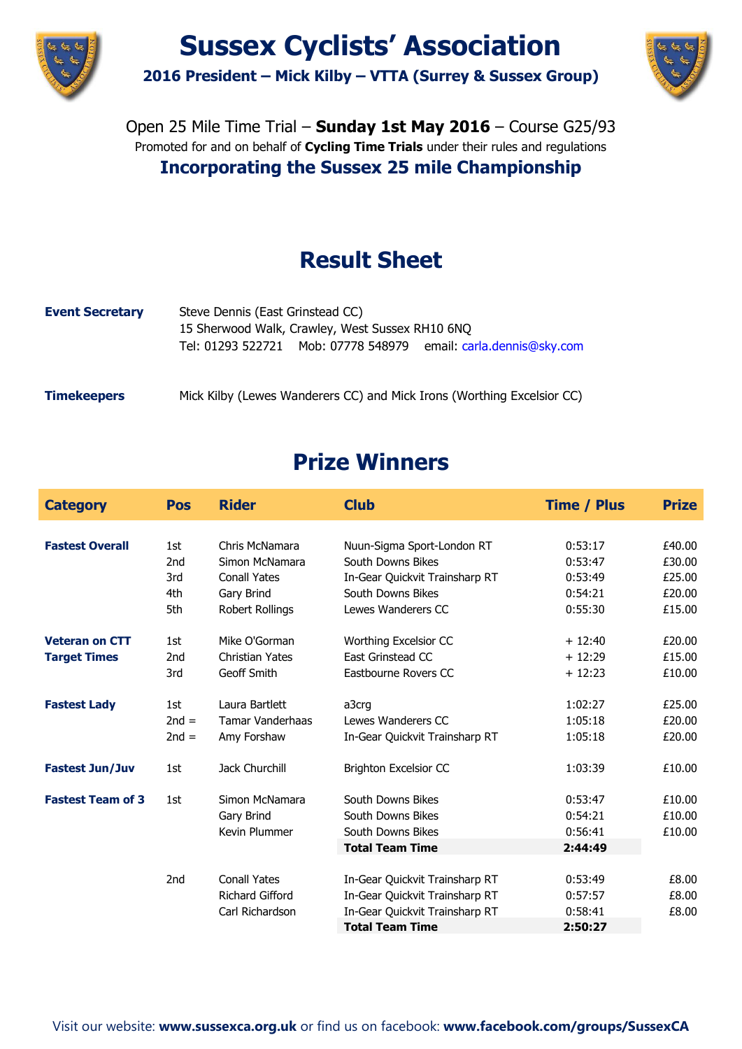



Open 25 Mile Time Trial – **Sunday 1st May 2016** – Course G25/93 Promoted for and on behalf of **Cycling Time Trials** under their rules and regulations **Incorporating the Sussex 25 mile Championship**

# **Result Sheet**

| <b>Event Secretary</b> | Steve Dennis (East Grinstead CC)<br>15 Sherwood Walk, Crawley, West Sussex RH10 6NQ<br>Tel: 01293 522721 Mob: 07778 548979 email: carla.dennis@sky.com |
|------------------------|--------------------------------------------------------------------------------------------------------------------------------------------------------|
| <b>Timekeepers</b>     | Mick Kilby (Lewes Wanderers CC) and Mick Irons (Worthing Excelsior CC)                                                                                 |

# **Prize Winners**

| <b>Category</b>          | <b>Pos</b>      | <b>Rider</b>            | <b>Club</b>                    | <b>Time / Plus</b> | <b>Prize</b> |
|--------------------------|-----------------|-------------------------|--------------------------------|--------------------|--------------|
|                          |                 |                         |                                |                    |              |
| <b>Fastest Overall</b>   | 1st             | Chris McNamara          | Nuun-Sigma Sport-London RT     | 0:53:17            | £40.00       |
|                          | 2 <sub>nd</sub> | Simon McNamara          | <b>South Downs Bikes</b>       | 0:53:47            | £30.00       |
|                          | 3rd             | <b>Conall Yates</b>     | In-Gear Quickvit Trainsharp RT | 0:53:49            | £25.00       |
|                          | 4th             | Gary Brind              | South Downs Bikes              | 0:54:21            | £20.00       |
|                          | 5th             | Robert Rollings         | Lewes Wanderers CC             | 0:55:30            | £15.00       |
| <b>Veteran on CTT</b>    | 1st             | Mike O'Gorman           | Worthing Excelsior CC          | $+12:40$           | £20.00       |
| <b>Target Times</b>      | 2 <sub>nd</sub> | <b>Christian Yates</b>  | East Grinstead CC              | $+12:29$           | £15.00       |
|                          | 3rd             | Geoff Smith             | Eastbourne Rovers CC           | $+12:23$           | £10.00       |
| <b>Fastest Lady</b>      | 1st             | Laura Bartlett          | a3crg                          | 1:02:27            | £25.00       |
|                          | $2nd =$         | <b>Tamar Vanderhaas</b> | Lewes Wanderers CC             | 1:05:18            | £20.00       |
|                          | $2nd =$         | Amy Forshaw             | In-Gear Quickvit Trainsharp RT | 1:05:18            | £20.00       |
| <b>Fastest Jun/Juv</b>   | 1st             | Jack Churchill          | <b>Brighton Excelsior CC</b>   | 1:03:39            | £10.00       |
| <b>Fastest Team of 3</b> | 1st             | Simon McNamara          | South Downs Bikes              | 0:53:47            | £10.00       |
|                          |                 | Gary Brind              | South Downs Bikes              | 0:54:21            | £10.00       |
|                          |                 | Kevin Plummer           | South Downs Bikes              | 0:56:41            | £10.00       |
|                          |                 |                         | <b>Total Team Time</b>         | 2:44:49            |              |
|                          | 2 <sub>nd</sub> | <b>Conall Yates</b>     | In-Gear Quickvit Trainsharp RT | 0:53:49            | £8.00        |
|                          |                 | Richard Gifford         | In-Gear Quickvit Trainsharp RT | 0:57:57            | £8.00        |
|                          |                 | Carl Richardson         | In-Gear Quickvit Trainsharp RT | 0:58:41            | £8.00        |
|                          |                 |                         | <b>Total Team Time</b>         | 2:50:27            |              |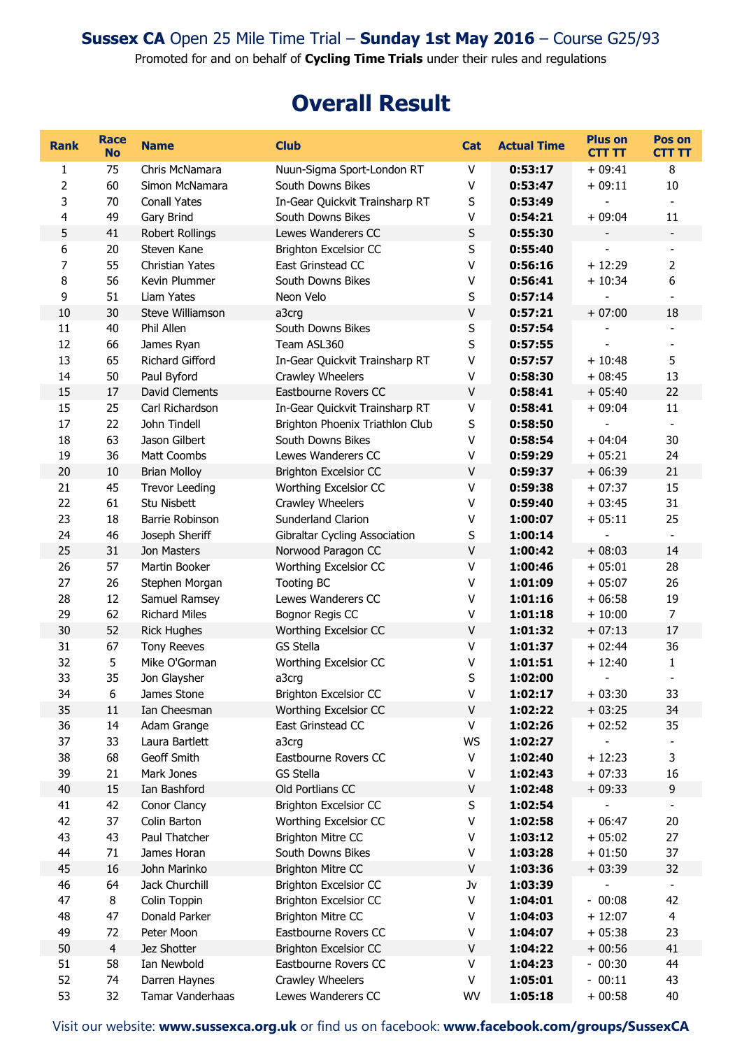Promoted for and on behalf of **Cycling Time Trials** under their rules and regulations

## **Overall Result**

| <b>Rank</b>      | Race<br><b>No</b> | <b>Name</b>           | <b>Club</b>                     | <b>Cat</b> | <b>Actual Time</b> | <b>Plus on</b><br><b>CTT TT</b> | Pos on<br><b>CTT TT</b>  |
|------------------|-------------------|-----------------------|---------------------------------|------------|--------------------|---------------------------------|--------------------------|
| 1                | 75                | Chris McNamara        | Nuun-Sigma Sport-London RT      | V          | 0:53:17            | $+09:41$                        | 8                        |
| 2                | 60                | Simon McNamara        | South Downs Bikes               | V          | 0:53:47            | $+09:11$                        | 10                       |
| 3                | 70                | <b>Conall Yates</b>   | In-Gear Quickvit Trainsharp RT  | S          | 0:53:49            |                                 | $\overline{\phantom{a}}$ |
| 4                | 49                | Gary Brind            | South Downs Bikes               | v          | 0:54:21            | $+09:04$                        | 11                       |
| 5                | 41                | Robert Rollings       | Lewes Wanderers CC              | $\sf S$    | 0:55:30            |                                 |                          |
| $\boldsymbol{6}$ | 20                | Steven Kane           | <b>Brighton Excelsior CC</b>    | $\sf S$    | 0:55:40            |                                 |                          |
| $\overline{7}$   | 55                | Christian Yates       | East Grinstead CC               | $\sf V$    | 0:56:16            | $+12:29$                        | $\overline{2}$           |
| 8                | 56                | Kevin Plummer         | South Downs Bikes               | V          | 0:56:41            | $+10:34$                        | 6                        |
| 9                | 51                | Liam Yates            | Neon Velo                       | $\sf S$    | 0:57:14            |                                 |                          |
| 10               | 30                | Steve Williamson      | a3crg                           | $\sf V$    | 0:57:21            | $+07:00$                        | 18                       |
| 11               | 40                | Phil Allen            | South Downs Bikes               | S          | 0:57:54            |                                 | $\overline{\phantom{a}}$ |
| 12               | 66                | James Ryan            | Team ASL360                     | S          | 0:57:55            |                                 | $\overline{\phantom{a}}$ |
| 13               | 65                | Richard Gifford       | In-Gear Quickvit Trainsharp RT  | $\sf V$    | 0:57:57            | $+10:48$                        | 5                        |
| 14               | 50                | Paul Byford           | Crawley Wheelers                | V          | 0:58:30            | $+08:45$                        | 13                       |
| 15               | 17                | <b>David Clements</b> | Eastbourne Rovers CC            | $\sf V$    | 0:58:41            | $+05:40$                        | 22                       |
| 15               | 25                | Carl Richardson       | In-Gear Quickvit Trainsharp RT  | $\sf V$    | 0:58:41            | $+09:04$                        | 11                       |
| 17               | 22                | John Tindell          | Brighton Phoenix Triathlon Club | S          | 0:58:50            |                                 |                          |
| 18               | 63                | Jason Gilbert         | South Downs Bikes               | V          | 0:58:54            | $+04:04$                        | 30                       |
| 19               | 36                | Matt Coombs           | Lewes Wanderers CC              | V          | 0:59:29            | $+05:21$                        | 24                       |
| 20               | 10                | <b>Brian Molloy</b>   | <b>Brighton Excelsior CC</b>    | $\sf V$    | 0:59:37            | $+06:39$                        | 21                       |
| 21               | 45                | <b>Trevor Leeding</b> | Worthing Excelsior CC           | $\sf V$    | 0:59:38            | $+07:37$                        | 15                       |
| 22               | 61                | Stu Nisbett           | Crawley Wheelers                | V          | 0:59:40            | $+03:45$                        | 31                       |
| 23               | 18                | Barrie Robinson       | Sunderland Clarion              | v          | 1:00:07            | $+05:11$                        | 25                       |
| 24               | 46                | Joseph Sheriff        | Gibraltar Cycling Association   | S          | 1:00:14            |                                 | $\blacksquare$           |
| 25               | 31                | Jon Masters           | Norwood Paragon CC              | $\sf V$    | 1:00:42            | $+08:03$                        | 14                       |
| 26               | 57                | Martin Booker         | Worthing Excelsior CC           | V          | 1:00:46            | $+05:01$                        | 28                       |
| 27               | 26                | Stephen Morgan        | <b>Tooting BC</b>               | $\vee$     | 1:01:09            | $+05:07$                        | 26                       |
| 28               | 12                | Samuel Ramsey         | Lewes Wanderers CC              | V          | 1:01:16            | $+06:58$                        | 19                       |
| 29               | 62                | <b>Richard Miles</b>  | Bognor Regis CC                 | V          | 1:01:18            | $+10:00$                        | $\overline{7}$           |
| 30               | 52                | <b>Rick Hughes</b>    | Worthing Excelsior CC           | $\sf V$    | 1:01:32            | $+07:13$                        | 17                       |
| 31               | 67                | <b>Tony Reeves</b>    | <b>GS Stella</b>                | $\sf V$    | 1:01:37            | $+02:44$                        | 36                       |
| 32               | 5                 | Mike O'Gorman         | Worthing Excelsior CC           | V          | 1:01:51            | $+12:40$                        | 1                        |
| 33               | 35                | Jon Glaysher          | a3crg                           | S          | 1:02:00            | $\overline{a}$                  | L,                       |
| 34               | 6                 | James Stone           | Brighton Excelsior CC           | V          | 1:02:17            | $+03:30$                        | 33                       |
| 35               | 11                | Ian Cheesman          | Worthing Excelsior CC           | $\sf V$    | 1:02:22            | $+03:25$                        | 34                       |
| 36               | 14                | Adam Grange           | East Grinstead CC               | V          | 1:02:26            | $+02:52$                        | 35                       |
| 37               | 33                | Laura Bartlett        | a3crg                           | WS         | 1:02:27            |                                 |                          |
| 38               | 68                | Geoff Smith           | Eastbourne Rovers CC            | V          | 1:02:40            | $+12:23$                        | 3                        |
| 39               | 21                | Mark Jones            | <b>GS Stella</b>                | V          | 1:02:43            | $+07:33$                        | 16                       |
| 40               | 15                | Ian Bashford          | Old Portlians CC                | V          | 1:02:48            | $+09:33$                        | 9                        |
| 41               | 42                | Conor Clancy          | <b>Brighton Excelsior CC</b>    | $\sf S$    | 1:02:54            |                                 |                          |
| 42               | 37                | Colin Barton          | Worthing Excelsior CC           | V          | 1:02:58            | $+06:47$                        | 20                       |
| 43               | 43                | Paul Thatcher         | <b>Brighton Mitre CC</b>        | V          | 1:03:12            | $+05:02$                        | 27                       |
| 44               | 71                | James Horan           | South Downs Bikes               | V          | 1:03:28            | $+01:50$                        | 37                       |
| 45               | 16                | John Marinko          | <b>Brighton Mitre CC</b>        | $\sf V$    | 1:03:36            | $+03:39$                        | 32                       |
| 46               | 64                | Jack Churchill        | <b>Brighton Excelsior CC</b>    | Jv         | 1:03:39            |                                 |                          |
| 47               | 8                 | Colin Toppin          | <b>Brighton Excelsior CC</b>    | V          | 1:04:01            | $-00:08$                        | 42                       |
| 48               | 47                | Donald Parker         | <b>Brighton Mitre CC</b>        | V          | 1:04:03            | $+12:07$                        | $\overline{4}$           |
| 49               | 72                | Peter Moon            | Eastbourne Rovers CC            | V          | 1:04:07            | $+05:38$                        | 23                       |
| 50               | $\overline{4}$    | Jez Shotter           | Brighton Excelsior CC           | $\sf V$    | 1:04:22            | $+00:56$                        | 41                       |
| 51               | 58                | Ian Newbold           | Eastbourne Rovers CC            | V          | 1:04:23            | $-00:30$                        | 44                       |
| 52               | 74                | Darren Haynes         | Crawley Wheelers                | V          | 1:05:01            | $-00:11$                        | 43                       |
| 53               | 32                | Tamar Vanderhaas      | Lewes Wanderers CC              | WV         | 1:05:18            | $+00:58$                        | 40                       |

Visit our website: **[www.sussexca.org.uk](http://www.sussexca.org.uk/)** or find us on facebook: **[www.facebook.com/groups/SussexCA](http://www.facebook.com/groups/SussexCA)**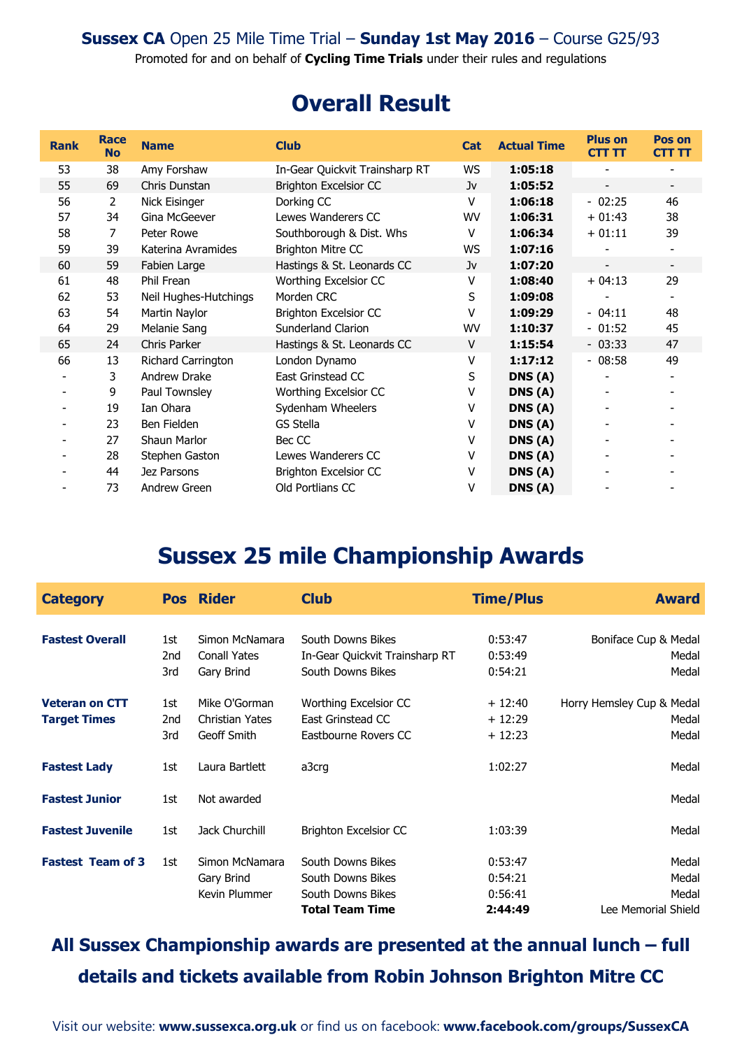Promoted for and on behalf of **Cycling Time Trials** under their rules and regulations

## **Overall Result**

| <b>Rank</b>              | <b>Race</b><br><b>No</b> | <b>Name</b>           | <b>Club</b>                    | <b>Cat</b> | <b>Actual Time</b> | <b>Plus on</b><br><b>CTT TT</b> | Pos on<br><b>CTT TT</b>  |
|--------------------------|--------------------------|-----------------------|--------------------------------|------------|--------------------|---------------------------------|--------------------------|
| 53                       | 38                       | Amy Forshaw           | In-Gear Quickvit Trainsharp RT | WS         | 1:05:18            |                                 |                          |
| 55                       | 69                       | Chris Dunstan         | <b>Brighton Excelsior CC</b>   | Jv         | 1:05:52            | $\overline{\phantom{a}}$        | $\overline{\phantom{a}}$ |
| 56                       | 2                        | Nick Eisinger         | Dorking CC                     | $\vee$     | 1:06:18            | $-02:25$                        | 46                       |
| 57                       | 34                       | Gina McGeever         | Lewes Wanderers CC             | WV         | 1:06:31            | $+01:43$                        | 38                       |
| 58                       | 7                        | Peter Rowe            | Southborough & Dist. Whs       | v          | 1:06:34            | $+01:11$                        | 39                       |
| 59                       | 39                       | Katerina Avramides    | <b>Brighton Mitre CC</b>       | WS         | 1:07:16            |                                 | $\overline{\phantom{a}}$ |
| 60                       | 59                       | Fabien Large          | Hastings & St. Leonards CC     | Jv         | 1:07:20            |                                 | $\overline{\phantom{a}}$ |
| 61                       | 48                       | Phil Frean            | Worthing Excelsior CC          | v          | 1:08:40            | $+04:13$                        | 29                       |
| 62                       | 53                       | Neil Hughes-Hutchings | Morden CRC                     | S          | 1:09:08            |                                 |                          |
| 63                       | 54                       | Martin Naylor         | Brighton Excelsior CC          | v          | 1:09:29            | $-04:11$                        | 48                       |
| 64                       | 29                       | Melanie Sang          | Sunderland Clarion             | WV         | 1:10:37            | $-01:52$                        | 45                       |
| 65                       | 24                       | Chris Parker          | Hastings & St. Leonards CC     | V          | 1:15:54            | $-03:33$                        | 47                       |
| 66                       | 13                       | Richard Carrington    | London Dynamo                  | v          | 1:17:12            | $-08:58$                        | 49                       |
|                          | 3                        | Andrew Drake          | East Grinstead CC              | S          | DNS(A)             |                                 | $\overline{\phantom{a}}$ |
| $\overline{\phantom{a}}$ | 9                        | Paul Townsley         | Worthing Excelsior CC          | ۷          | DNS(A)             |                                 |                          |
| $\overline{\phantom{a}}$ | 19                       | Ian Ohara             | Sydenham Wheelers              | v          | DNS(A)             |                                 |                          |
|                          | 23                       | Ben Fielden           | GS Stella                      | v          | DNS(A)             |                                 |                          |
| ۰                        | 27                       | <b>Shaun Marlor</b>   | Bec CC                         | v          | DNS(A)             |                                 |                          |
| $\overline{\phantom{a}}$ | 28                       | Stephen Gaston        | Lewes Wanderers CC             | v          | DNS(A)             |                                 |                          |
|                          | 44                       | Jez Parsons           | Brighton Excelsior CC          | v          | DNS(A)             |                                 |                          |
|                          | 73                       | Andrew Green          | Old Portlians CC               | ٧          | DNS(A)             |                                 |                          |

## **Sussex 25 mile Championship Awards**

| <b>Category</b>          |     | <b>Pos Rider</b>       | <b>Club</b>                    | <b>Time/Plus</b> | <b>Award</b>              |
|--------------------------|-----|------------------------|--------------------------------|------------------|---------------------------|
|                          |     |                        |                                |                  |                           |
| <b>Fastest Overall</b>   | 1st | Simon McNamara         | South Downs Bikes              | 0:53:47          | Boniface Cup & Medal      |
|                          | 2nd | <b>Conall Yates</b>    | In-Gear Quickvit Trainsharp RT | 0:53:49          | Medal                     |
|                          | 3rd | Gary Brind             | South Downs Bikes              | 0:54:21          | Medal                     |
| <b>Veteran on CTT</b>    | 1st | Mike O'Gorman          | Worthing Excelsior CC          | $+12:40$         | Horry Hemsley Cup & Medal |
| <b>Target Times</b>      | 2nd | <b>Christian Yates</b> | East Grinstead CC              | $+12:29$         | Medal                     |
|                          | 3rd | Geoff Smith            | Eastbourne Rovers CC           | $+12:23$         | Medal                     |
| <b>Fastest Lady</b>      | 1st | Laura Bartlett         | a3crg                          | 1:02:27          | Medal                     |
| <b>Fastest Junior</b>    | 1st | Not awarded            |                                |                  | Medal                     |
| <b>Fastest Juvenile</b>  | 1st | Jack Churchill         | <b>Brighton Excelsior CC</b>   | 1:03:39          | Medal                     |
| <b>Fastest Team of 3</b> | 1st | Simon McNamara         | South Downs Bikes              | 0:53:47          | Medal                     |
|                          |     | Gary Brind             | South Downs Bikes              | 0:54:21          | Medal                     |
|                          |     | Kevin Plummer          | South Downs Bikes              | 0:56:41          | Medal                     |
|                          |     |                        | <b>Total Team Time</b>         | 2:44:49          | Lee Memorial Shield       |

## **All Sussex Championship awards are presented at the annual lunch – full details and tickets available from Robin Johnson Brighton Mitre CC**

Visit our website: **[www.sussexca.org.uk](http://www.sussexca.org.uk/)** or find us on facebook: **[www.facebook.com/groups/SussexCA](http://www.facebook.com/groups/SussexCA)**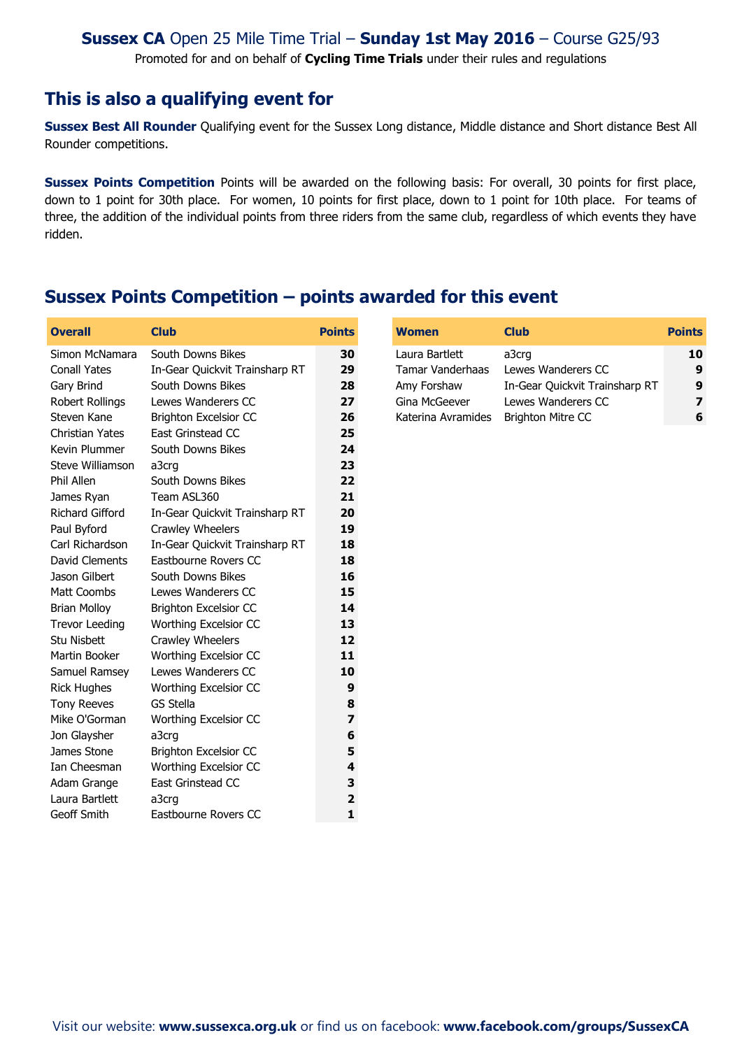Promoted for and on behalf of **Cycling Time Trials** under their rules and regulations

#### **This is also a qualifying event for**

**Sussex Best All Rounder** Qualifying event for the Sussex Long distance, Middle distance and Short distance Best All Rounder competitions.

**Sussex Points Competition** Points will be awarded on the following basis: For overall, 30 points for first place, down to 1 point for 30th place. For women, 10 points for first place, down to 1 point for 10th place. For teams of three, the addition of the individual points from three riders from the same club, regardless of which events they have ridden.

### **Sussex Points Competition – points awarded for this event**

| <b>Overall</b>         | <b>Club</b>                    | <b>Points</b> | <b>Women</b>       | <b>Club</b>                    | <b>Points</b> |
|------------------------|--------------------------------|---------------|--------------------|--------------------------------|---------------|
| Simon McNamara         | South Downs Bikes              | 30            | Laura Bartlett     | a3crg                          | 10            |
| <b>Conall Yates</b>    | In-Gear Quickvit Trainsharp RT | 29            | Tamar Vanderhaas   | Lewes Wanderers CC             | 9             |
| Gary Brind             | South Downs Bikes              | 28            | Amy Forshaw        | In-Gear Quickvit Trainsharp RT | 9             |
| Robert Rollings        | Lewes Wanderers CC             | 27            | Gina McGeever      | Lewes Wanderers CC             | 7             |
| Steven Kane            | <b>Brighton Excelsior CC</b>   | 26            | Katerina Avramides | <b>Brighton Mitre CC</b>       | 6             |
| <b>Christian Yates</b> | East Grinstead CC              | 25            |                    |                                |               |
| Kevin Plummer          | South Downs Bikes              | 24            |                    |                                |               |
| Steve Williamson       | a3crg                          | 23            |                    |                                |               |
| Phil Allen             | South Downs Bikes              | 22            |                    |                                |               |
| James Ryan             | Team ASL360                    | 21            |                    |                                |               |
| <b>Richard Gifford</b> | In-Gear Quickvit Trainsharp RT | 20            |                    |                                |               |
| Paul Byford            | Crawley Wheelers               | 19            |                    |                                |               |
| Carl Richardson        | In-Gear Quickvit Trainsharp RT | 18            |                    |                                |               |
| David Clements         | Eastbourne Rovers CC           | 18            |                    |                                |               |
| Jason Gilbert          | South Downs Bikes              | 16            |                    |                                |               |
| Matt Coombs            | Lewes Wanderers CC             | 15            |                    |                                |               |
| <b>Brian Molloy</b>    | <b>Brighton Excelsior CC</b>   | 14            |                    |                                |               |
| <b>Trevor Leeding</b>  | Worthing Excelsior CC          | 13            |                    |                                |               |
| Stu Nisbett            | Crawley Wheelers               | 12            |                    |                                |               |
| Martin Booker          | Worthing Excelsior CC          | 11            |                    |                                |               |
| Samuel Ramsey          | Lewes Wanderers CC             | 10            |                    |                                |               |
| <b>Rick Hughes</b>     | Worthing Excelsior CC          | 9             |                    |                                |               |
| <b>Tony Reeves</b>     | <b>GS Stella</b>               | 8             |                    |                                |               |
| Mike O'Gorman          | Worthing Excelsior CC          | 7             |                    |                                |               |
| Jon Glaysher           | a3crg                          | 6             |                    |                                |               |
| James Stone            | <b>Brighton Excelsior CC</b>   | 5             |                    |                                |               |
| Ian Cheesman           | Worthing Excelsior CC          | 4             |                    |                                |               |
| Adam Grange            | East Grinstead CC              | 3             |                    |                                |               |
| Laura Bartlett         | a3crg                          | 2             |                    |                                |               |
| Geoff Smith            | Eastbourne Rovers CC           | $\mathbf{1}$  |                    |                                |               |

| <b>Women</b>            | <b>Club</b>                    | <b>Points</b> |
|-------------------------|--------------------------------|---------------|
| Laura Bartlett          | a3crg                          | 10            |
| <b>Tamar Vanderhaas</b> | Lewes Wanderers CC             | 9             |
| Amy Forshaw             | In-Gear Quickvit Trainsharp RT | 9             |
| Gina McGeever           | Lewes Wanderers CC             |               |
| Katerina Avramides      | <b>Brighton Mitre CC</b>       | 6             |